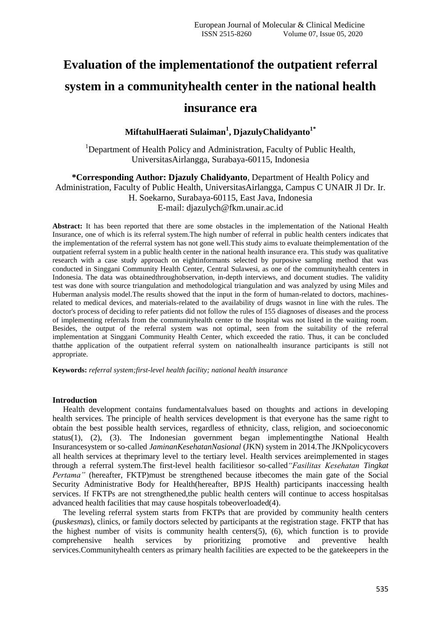# **Evaluation of the implementationof the outpatient referral system in a communityhealth center in the national health insurance era**

## **MiftahulHaerati Sulaiman<sup>1</sup> , DjazulyChalidyanto1\***

<sup>1</sup>Department of Health Policy and Administration, Faculty of Public Health, UniversitasAirlangga, Surabaya-60115, Indonesia

**\*Corresponding Author: Djazuly Chalidyanto**, Department of Health Policy and Administration, Faculty of Public Health, UniversitasAirlangga, Campus C UNAIR Jl Dr. Ir. H. Soekarno, Surabaya-60115, East Java, Indonesia E-mail: djazulych@fkm.unair.ac.id

**Abstract:** It has been reported that there are some obstacles in the implementation of the National Health Insurance, one of which is its referral system.The high number of referral in public health centers indicates that the implementation of the referral system has not gone well.This study aims to evaluate theimplementation of the outpatient referral system in a public health center in the national health insurance era. This study was qualitative research with a case study approach on eightinformants selected by purposive sampling method that was conducted in Singgani Community Health Center, Central Sulawesi, as one of the communityhealth centers in Indonesia. The data was obtainedthroughobservation, in-depth interviews, and document studies. The validity test was done with source triangulation and methodological triangulation and was analyzed by using Miles and Huberman analysis model.The results showed that the input in the form of human-related to doctors, machinesrelated to medical devices, and materials-related to the availability of drugs wasnot in line with the rules. The doctor's process of deciding to refer patients did not follow the rules of 155 diagnoses of diseases and the process of implementing referrals from the communityhealth center to the hospital was not listed in the waiting room. Besides, the output of the referral system was not optimal, seen from the suitability of the referral implementation at Singgani Community Health Center, which exceeded the ratio. Thus, it can be concluded thatthe application of the outpatient referral system on nationalhealth insurance participants is still not appropriate.

**Keywords:** *referral system;first-level health facility; national health insurance*

### **Introduction**

Health development contains fundamentalvalues based on thoughts and actions in developing health services. The principle of health services development is that everyone has the same right to obtain the best possible health services, regardless of ethnicity, class, religion, and socioeconomic status(1), (2), (3). The Indonesian government began implementingthe National Health Insurancesystem or so-called *JaminanKesehatanNasional* (JKN) system in 2014.The JKNpolicycovers all health services at theprimary level to the tertiary level. Health services areimplemented in stages through a referral system.The first-level health facilitiesor so-called*"Fasilitas Kesehatan Tingkat Pertama"* (hereafter, FKTP)must be strengthened because itbecomes the main gate of the Social Security Administrative Body for Health(hereafter, BPJS Health) participants inaccessing health services. If FKTPs are not strengthened,the public health centers will continue to access hospitalsas advanced health facilities that may cause hospitals tobeoverloaded(4).

The leveling referral system starts from FKTPs that are provided by community health centers (*puskesmas*), clinics, or family doctors selected by participants at the registration stage. FKTP that has the highest number of visits is community health centers(5), (6), which function is to provide comprehensive health services by prioritizing promotive and preventive health services.Communityhealth centers as primary health facilities are expected to be the gatekeepers in the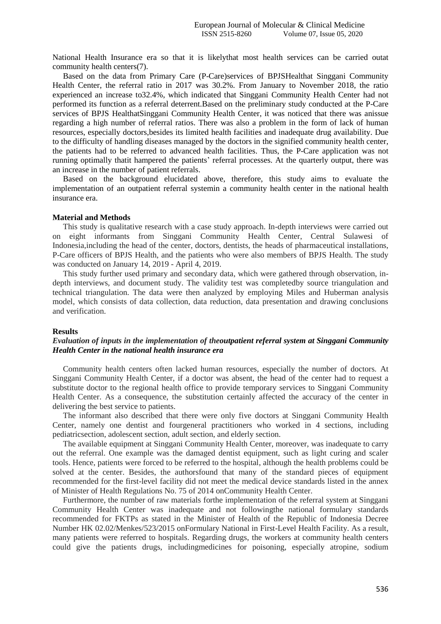National Health Insurance era so that it is likelythat most health services can be carried outat community health centers(7).

Based on the data from Primary Care (P-Care)services of BPJSHealthat Singgani Community Health Center, the referral ratio in 2017 was 30.2%. From January to November 2018, the ratio experienced an increase to32.4%, which indicated that Singgani Community Health Center had not performed its function as a referral deterrent.Based on the preliminary study conducted at the P-Care services of BPJS HealthatSinggani Community Health Center, it was noticed that there was anissue regarding a high number of referral ratios. There was also a problem in the form of lack of human resources, especially doctors,besides its limited health facilities and inadequate drug availability. Due to the difficulty of handling diseases managed by the doctors in the signified community health center, the patients had to be referred to advanced health facilities. Thus, the P-Care application was not running optimally thatit hampered the patients' referral processes. At the quarterly output, there was an increase in the number of patient referrals.

Based on the background elucidated above, therefore, this study aims to evaluate the implementation of an outpatient referral systemin a community health center in the national health insurance era.

## **Material and Methods**

This study is qualitative research with a case study approach. In-depth interviews were carried out on eight informants from Singgani Community Health Center, Central Sulawesi of Indonesia,including the head of the center, doctors, dentists, the heads of pharmaceutical installations, P-Care officers of BPJS Health, and the patients who were also members of BPJS Health. The study was conducted on January 14, 2019 - April 4, 2019.

This study further used primary and secondary data, which were gathered through observation, indepth interviews, and document study. The validity test was completedby source triangulation and technical triangulation. The data were then analyzed by employing Miles and Huberman analysis model, which consists of data collection, data reduction, data presentation and drawing conclusions and verification.

#### **Results**

## *Evaluation of inputs in the implementation of theoutpatient referral system at Singgani Community Health Center in the national health insurance era*

Community health centers often lacked human resources, especially the number of doctors. At Singgani Community Health Center, if a doctor was absent, the head of the center had to request a substitute doctor to the regional health office to provide temporary services to Singgani Community Health Center. As a consequence, the substitution certainly affected the accuracy of the center in delivering the best service to patients.

The informant also described that there were only five doctors at Singgani Community Health Center, namely one dentist and fourgeneral practitioners who worked in 4 sections, including pediatricsection, adolescent section, adult section, and elderly section.

The available equipment at Singgani Community Health Center, moreover, was inadequate to carry out the referral. One example was the damaged dentist equipment, such as light curing and scaler tools. Hence, patients were forced to be referred to the hospital, although the health problems could be solved at the center. Besides, the authorsfound that many of the standard pieces of equipment recommended for the first-level facility did not meet the medical device standards listed in the annex of Minister of Health Regulations No. 75 of 2014 onCommunity Health Center.

Furthermore, the number of raw materials forthe implementation of the referral system at Singgani Community Health Center was inadequate and not followingthe national formulary standards recommended for FKTPs as stated in the Minister of Health of the Republic of Indonesia Decree Number HK 02.02/Menkes/523/2015 onFormulary National in First-Level Health Facility. As a result, many patients were referred to hospitals. Regarding drugs, the workers at community health centers could give the patients drugs, includingmedicines for poisoning, especially atropine, sodium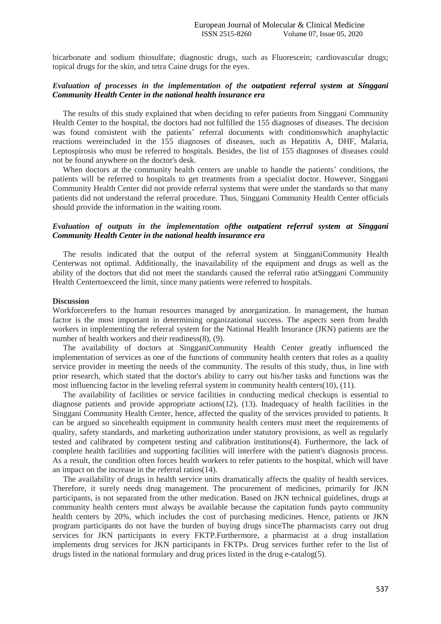bicarbonate and sodium thiosulfate; diagnostic drugs, such as Fluorescein; cardiovascular drugs; topical drugs for the skin, and tetra Caine drugs for the eyes.

## *Evaluation of processes in the implementation of the outpatient referral system at Singgani Community Health Center in the national health insurance era*

The results of this study explained that when deciding to refer patients from Singgani Community Health Center to the hospital, the doctors had not fulfilled the 155 diagnoses of diseases. The decision was found consistent with the patients' referral documents with conditionswhich anaphylactic reactions wereincluded in the 155 diagnoses of diseases, such as Hepatitis A, DHF, Malaria, Leptospirosis who must be referred to hospitals. Besides, the list of 155 diagnoses of diseases could not be found anywhere on the doctor's desk.

When doctors at the community health centers are unable to handle the patients' conditions, the patients will be referred to hospitals to get treatments from a specialist doctor. However, Singgani Community Health Center did not provide referral systems that were under the standards so that many patients did not understand the referral procedure. Thus, Singgani Community Health Center officials should provide the information in the waiting room.

## *Evaluation of outputs in the implementation ofthe outpatient referral system at Singgani Community Health Center in the national health insurance era*

The results indicated that the output of the referral system at SingganiCommunity Health Centerwas not optimal. Additionally, the inavailability of the equipment and drugs as well as the ability of the doctors that did not meet the standards caused the referral ratio atSinggani Community Health Centertoexceed the limit, since many patients were referred to hospitals.

#### **Discussion**

Workforcerefers to the human resources managed by anorganization. In management, the human factor is the most important in determining organizational success. The aspects seen from health workers in implementing the referral system for the National Health Insurance (JKN) patients are the number of health workers and their readiness(8), (9).

The availability of doctors at SingganiCommunity Health Center greatly influenced the implementation of services as one of the functions of community health centers that roles as a quality service provider in meeting the needs of the community. The results of this study, thus, in line with prior research, which stated that the doctor's ability to carry out his/her tasks and functions was the most influencing factor in the leveling referral system in community health centers(10), (11).

The availability of facilities or service facilities in conducting medical checkups is essential to diagnose patients and provide appropriate actions(12), (13). Inadequacy of health facilities in the Singgani Community Health Center, hence, affected the quality of the services provided to patients. It can be argued so sincehealth equipment in community health centers must meet the requirements of quality, safety standards, and marketing authorization under statutory provisions, as well as regularly tested and calibrated by competent testing and calibration institutions(4). Furthermore, the lack of complete health facilities and supporting facilities will interfere with the patient's diagnosis process. As a result, the condition often forces health workers to refer patients to the hospital, which will have an impact on the increase in the referral ratios(14).

The availability of drugs in health service units dramatically affects the quality of health services. Therefore, it surely needs drug management. The procurement of medicines, primarily for JKN participants, is not separated from the other medication. Based on JKN technical guidelines, drugs at community health centers must always be available because the capitation funds payto community health centers by 20%, which includes the cost of purchasing medicines. Hence, patients or JKN program participants do not have the burden of buying drugs sinceThe pharmacists carry out drug services for JKN participants in every FKTP.Furthermore, a pharmacist at a drug installation implements drug services for JKN participants in FKTPs. Drug services further refer to the list of drugs listed in the national formulary and drug prices listed in the drug e-catalog(5).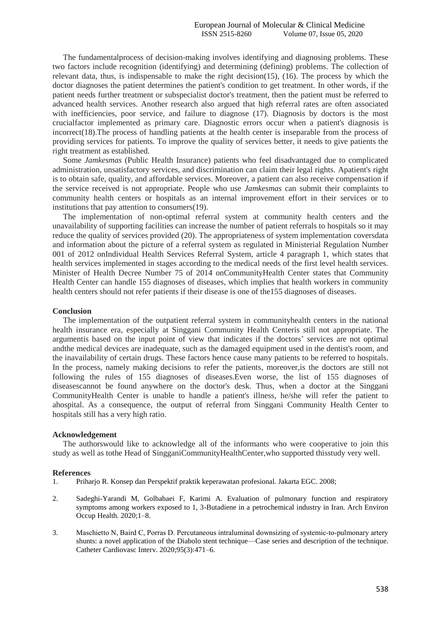The fundamentalprocess of decision-making involves identifying and diagnosing problems. These two factors include recognition (identifying) and determining (defining) problems. The collection of relevant data, thus, is indispensable to make the right decision(15), (16). The process by which the doctor diagnoses the patient determines the patient's condition to get treatment. In other words, if the patient needs further treatment or subspecialist doctor's treatment, then the patient must be referred to advanced health services. Another research also argued that high referral rates are often associated with inefficiencies, poor service, and failure to diagnose (17). Diagnosis by doctors is the most crucialfactor implemented as primary care. Diagnostic errors occur when a patient's diagnosis is incorrect(18).The process of handling patients at the health center is inseparable from the process of providing services for patients. To improve the quality of services better, it needs to give patients the right treatment as established.

Some *Jamkesmas* (Public Health Insurance) patients who feel disadvantaged due to complicated administration, unsatisfactory services, and discrimination can claim their legal rights. Apatient's right is to obtain safe, quality, and affordable services. Moreover, a patient can also receive compensation if the service received is not appropriate. People who use *Jamkesmas* can submit their complaints to community health centers or hospitals as an internal improvement effort in their services or to institutions that pay attention to consumers(19).

The implementation of non-optimal referral system at community health centers and the unavailability of supporting facilities can increase the number of patient referrals to hospitals so it may reduce the quality of services provided (20). The appropriateness of system implementation coversdata and information about the picture of a referral system as regulated in Ministerial Regulation Number 001 of 2012 onIndividual Health Services Referral System, article 4 paragraph 1, which states that health services implemented in stages according to the medical needs of the first level health services. Minister of Health Decree Number 75 of 2014 onCommunityHealth Center states that Community Health Center can handle 155 diagnoses of diseases, which implies that health workers in community health centers should not refer patients if their disease is one of the155 diagnoses of diseases.

## **Conclusion**

The implementation of the outpatient referral system in communityhealth centers in the national health insurance era, especially at Singgani Community Health Centeris still not appropriate. The argumentis based on the input point of view that indicates if the doctors' services are not optimal andthe medical devices are inadequate, such as the damaged equipment used in the dentist's room, and the inavailability of certain drugs. These factors hence cause many patients to be referred to hospitals. In the process, namely making decisions to refer the patients, moreover,is the doctors are still not following the rules of 155 diagnoses of diseases.Even worse, the list of 155 diagnoses of diseasescannot be found anywhere on the doctor's desk. Thus, when a doctor at the Singgani CommunityHealth Center is unable to handle a patient's illness, he/she will refer the patient to ahospital. As a consequence, the output of referral from Singgani Community Health Center to hospitals still has a very high ratio.

### **Acknowledgement**

The authorswould like to acknowledge all of the informants who were cooperative to join this study as well as tothe Head of SingganiCommunityHealthCenter,who supported thisstudy very well.

### **References**

- 1. Priharjo R. Konsep dan Perspektif praktik keperawatan profesional. Jakarta EGC. 2008;
- 2. Sadeghi-Yarandi M, Golbabaei F, Karimi A. Evaluation of pulmonary function and respiratory symptoms among workers exposed to 1, 3-Butadiene in a petrochemical industry in Iran. Arch Environ Occup Health. 2020;1–8.
- 3. Maschietto N, Baird C, Porras D. Percutaneous intraluminal downsizing of systemic‐to‐pulmonary artery shunts: a novel application of the Diabolo stent technique—Case series and description of the technique. Catheter Cardiovasc Interv. 2020;95(3):471–6.